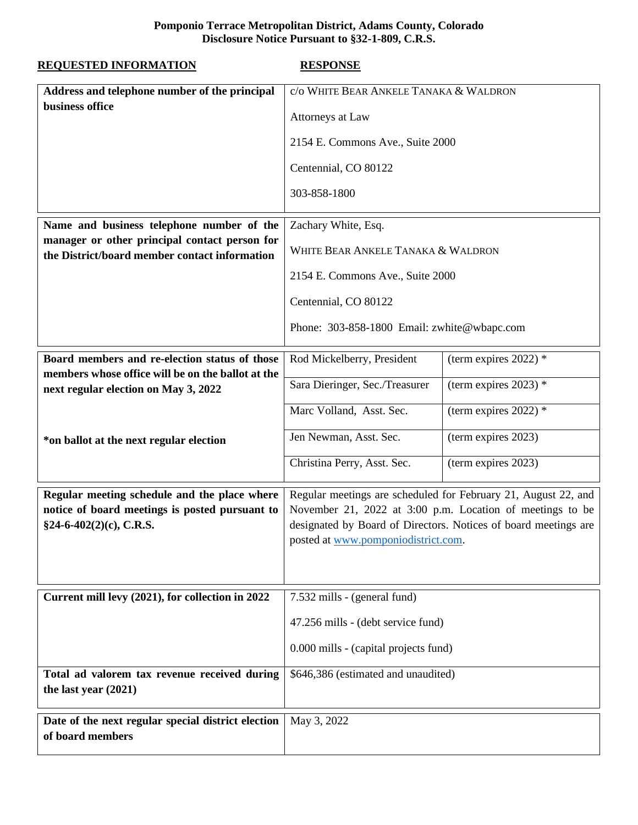## **Pomponio Terrace Metropolitan District, Adams County, Colorado Disclosure Notice Pursuant to §32-1-809, C.R.S.**

| <b>REQUESTED INFORMATION</b>                                                                                                | <b>RESPONSE</b>                                                                                                                                                                                                                       |                         |
|-----------------------------------------------------------------------------------------------------------------------------|---------------------------------------------------------------------------------------------------------------------------------------------------------------------------------------------------------------------------------------|-------------------------|
| Address and telephone number of the principal                                                                               | c/o WHITE BEAR ANKELE TANAKA & WALDRON                                                                                                                                                                                                |                         |
| business office                                                                                                             | Attorneys at Law                                                                                                                                                                                                                      |                         |
|                                                                                                                             | 2154 E. Commons Ave., Suite 2000                                                                                                                                                                                                      |                         |
|                                                                                                                             | Centennial, CO 80122                                                                                                                                                                                                                  |                         |
|                                                                                                                             | 303-858-1800                                                                                                                                                                                                                          |                         |
| Name and business telephone number of the                                                                                   | Zachary White, Esq.<br>WHITE BEAR ANKELE TANAKA & WALDRON                                                                                                                                                                             |                         |
| manager or other principal contact person for<br>the District/board member contact information                              |                                                                                                                                                                                                                                       |                         |
|                                                                                                                             | 2154 E. Commons Ave., Suite 2000                                                                                                                                                                                                      |                         |
|                                                                                                                             | Centennial, CO 80122                                                                                                                                                                                                                  |                         |
|                                                                                                                             | Phone: 303-858-1800 Email: zwhite@wbapc.com                                                                                                                                                                                           |                         |
| Board members and re-election status of those                                                                               | Rod Mickelberry, President                                                                                                                                                                                                            | (term expires 2022) $*$ |
| members whose office will be on the ballot at the<br>next regular election on May 3, 2022                                   | Sara Dieringer, Sec./Treasurer                                                                                                                                                                                                        | (term expires 2023) $*$ |
|                                                                                                                             | Marc Volland, Asst. Sec.                                                                                                                                                                                                              | (term expires 2022) $*$ |
| *on ballot at the next regular election                                                                                     | Jen Newman, Asst. Sec.                                                                                                                                                                                                                | (term expires 2023)     |
|                                                                                                                             | Christina Perry, Asst. Sec.                                                                                                                                                                                                           | (term expires 2023)     |
| Regular meeting schedule and the place where<br>notice of board meetings is posted pursuant to<br>$§24-6-402(2)(c), C.R.S.$ | Regular meetings are scheduled for February 21, August 22, and<br>November 21, 2022 at 3:00 p.m. Location of meetings to be<br>designated by Board of Directors. Notices of board meetings are<br>posted at www.pomponiodistrict.com. |                         |
| Current mill levy (2021), for collection in 2022                                                                            | 7.532 mills - (general fund)                                                                                                                                                                                                          |                         |
|                                                                                                                             | 47.256 mills - (debt service fund)                                                                                                                                                                                                    |                         |
|                                                                                                                             | 0.000 mills - (capital projects fund)                                                                                                                                                                                                 |                         |
| Total ad valorem tax revenue received during<br>the last year $(2021)$                                                      | \$646,386 (estimated and unaudited)                                                                                                                                                                                                   |                         |
| Date of the next regular special district election<br>of board members                                                      | May 3, 2022                                                                                                                                                                                                                           |                         |